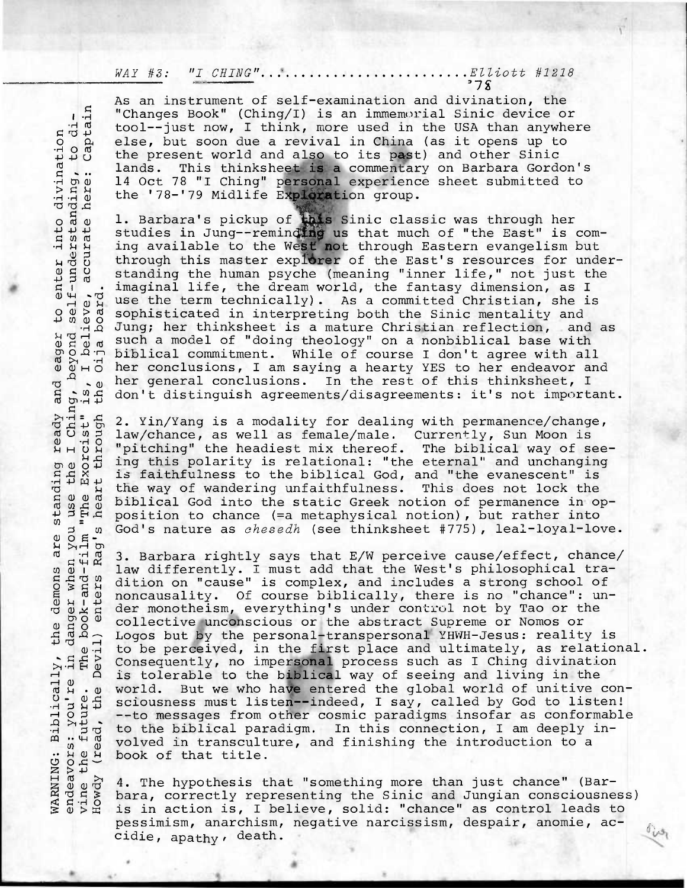WAY #3: "I CHING" Elliott #1218

As an instrument of self-examination and divination, the "Changes Book" (Ching/I) is an immemorial Sinic device or As an instrument of seri-examination and divination, the<br>
"Changes Book" (Ching/I) is an immemorial Sinic device or<br>
tool--just now, I think, more used in the USA than anywhere<br>
else, but soon due a revival in China (as it else, but soon due a revival in China (as it opens up to the present world and also to its past) and other Sinic lands. This thinksheet is a commentary on Barbara Gordon's 14 Oct 78 "I Ching" personal experience sheet submitted to the '78-'79 Midlife Exploration group.

o a u. Barbara's pickup of this Sinic classic was through her<br>  $\frac{1}{2}$   $\frac{1}{2}$  studies in Jung--reminding us that much of "the East" is<br>  $\frac{1}{2}$   $\frac{1}{2}$  ing available to the West not through Eastern evangelism i studies in Jung--reminding us that much of "the East" is coming available to the West not through Eastern evangelism but through this master explorer of the East's resources for understanding the human psyche (meaning "inner life," not just the • imaginal life, the dream world, the fantasy dimension, as I The use the term technically). As a committed Christian, she is<br>
S sophisticated in interpreting both the Sinic mentality and<br>
A Jung; her thinksheet is a mature Christian reflection, and 8 sophisticated in interpreting both the Sinic mentality and<br>
The Jung; her thinksheet is a mature Christian reflection, and as<br>
The such a model of "doing theology" on a nonbiblical base with<br>
CO 0.7 biblical commitment. Jung; her thinksheet is a mature Christian reflection,  $H = \frac{1}{100}$  and  $H = 0.001$  and  $H = 0.001$  and  $H = 0.001$  and  $H = 0.001$  and  $H = 0.001$  and  $H = 0.001$  and  $H = 0.001$  and  $H = 0.001$  and  $H = 0.001$  and  $H = 0.001$  and  $H = 0.001$  and  $H = 0.001$  and  $H = 0.001$  and  $H = 0.00$ her conclusions, I am saying a hearty YES to her endeavor and her general conclusions. In the rest of this thinksheet, I don't distinguish agreements/disagreements: it's not important.

2. Yin/Yang is a modality for dealing with permanence/change, Fitch 2. Yin/Yang is a modality for dealing with permanence/changed 5 1 law/chance, as well as female/male. Currently, Sun Moon is<br>  $\begin{array}{c} 1 & 0 & 0 \\ 0 & 0 & 0 \\ 0 & 0 & 0 \\ 0 & 0 & 0 \\ 0 & 0 & 0 \\ 0 & 0 & 0 \\ 0 & 0 & 0 \\ 0 & 0 & 0 \\ 0 & 0 & 0 \\$ H "pitching" the headiest mix thereof. The biblical way of see-<br> $\frac{1}{4}$  ing this polarity is relational: "the eternal" and unchanging  $\begin{array}{c} 0.91 \text{ G} \\ 0.91 \text{ G} \\ 0.91 \text{ G} \\ 0.91 \text{ G} \\ 0.91 \text{ G} \\ 0.91 \text{ G} \\ 0.91 \text{ G} \\ 0.91 \text{ G} \\ 0.91 \text{ G} \\ 0.91 \text{ G} \\ 0.91 \text{ G} \\ 0.91 \text{ G} \\ 0.91 \text{ G} \\ 0.91 \text{ G} \\ 0.91 \text{ G} \\ 0.91 \text{ G} \\ 0.91 \text{ G} \\ 0.91 \text{ G} \\ 0.91 \text{ G} \\ 0.9$  $\tilde{R}$  is faithfulness to the biblical God, and "the evanescent" is<br>  $\tilde{R}$  the way of wandering unfaithfulness. This does not lock the<br>  $\frac{9}{8}$  diblical God into the static Greek notion of permanence in our the way of wandering unfaithfulness. This does not lock the biblical God into the static Greek notion of permanence in op-<br>position to chance (=a metaphysical notion), but rather into posical notion to chance is chance to chance to chance into the chance.<br>  $p$  o  $F$ <br>  $p$  o  $F$  o<br>  $p$  o  $m$  3. Barbara rightly says that E/W perceive cause/effect, chance/

3. Barbara rightly says that E/W perceive cause/effect, chance/ law differently. I must add that the West's philosophical tra $a \overline{b}$  and differently. I must add that the West's philosophical tra-<br>  $a \overline{b}$  and dition on "cause" is complex, and includes a strong school of<br>  $b \overline{b}$  and includes a strong school of<br>  $b \overline{b}$  and  $b \overline{c}$  are noncausality. Of course biblically, there is no "chance":  $un$ *ç* der monotheism, everything's under control not by Tao or the collective unconscious or the abstract Supreme or Nomos or  $\frac{1}{4}$   $\frac{1}{4}$   $\frac{1}{4}$   $\frac{1}{4}$   $\frac{1}{4}$  Logos but by the personal-transpersonal YHWH-Jesus: reality is to be perceived, in the first place and ultimately, as relational. Consequently, no impersonal process such as I Ching divination Halp Consequently, no impersonal process such as I Ching divination<br>of the biblical way of seeing and living in the<br>displayer world. But we who have entered the global world of unitive<br>displayer sciousness must listen-inde But we who have entered the global world of unitive consciousness must listen--indeed, I say, called by God to listen! --to messages from other cosmic paradigms insofar as conformable to the biblical paradigm. In this connection, I am deeply involved in transculture, and finishing the introduction to a book of that title.

4. The hypothesis that "something more than just chance" (Barbara, correctly representing the Sinic and Jungian consciousness) : class and that title.<br>
Example 2 at the hypothesis that "something more than just chance" (Bar-<br>
Example 2: 2 at a, correctly representing the Sinic and Jungian consciousnes:<br>
Section is, I believe, solid: "chance" as co pessimism, anarchism, negative narcissism, despair, anomie, accidie, apathy, death.

 $v_{\nu s_1}$ 

din<br>din to enter 4-1 •• Ching, be<br>ist" is, I<br>ough the O and m • <sup>o</sup>E- *\$-4 ï* H LT) o (  $\overline{P}$   $\overline{P}$ 54<br>40  $\geq$   $\geq$   $\frac{1}{2}$ vine t<br>Howdy